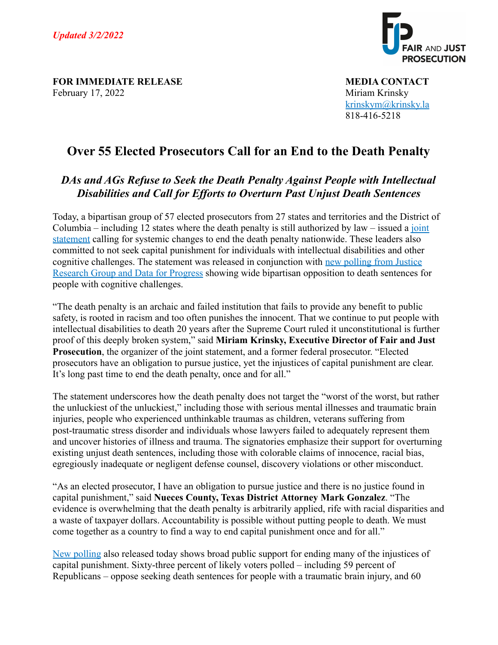**IR AND JUST PROSECUTION** 

**FOR IMMEDIATE RELEASE MEDIA CONTACT** February 17, 2022 Miriam Krinsky

[krinskym@krinsky.la](mailto:krinskym@krinsky.la) 818-416-5218

## **Over 55 Elected Prosecutors Call for an End to the Death Penalty**

## *DAs and AGs Refuse to Seek the Death Penalty Against People with Intellectual Disabilities and Call for Efforts to Overturn Past Unjust Death Sentences*

Today, a bipartisan group of 57 elected prosecutors from 27 states and territories and the District of Columbia – including 12 states where the death penalty is still authorized by law – issued a [joint](https://fairandjustprosecution.org/wp-content/uploads/2022/02/FJP-Death-Penalty-Joint-Statement-2022.pdf) [statement](https://fairandjustprosecution.org/wp-content/uploads/2022/02/FJP-Death-Penalty-Joint-Statement-2022.pdf) calling for systemic changes to end the death penalty nationwide. These leaders also committed to not seek capital punishment for individuals with intellectual disabilities and other cognitive challenges. The statement was released in conjunction with [new polling from Justice](https://acrobat.adobe.com/link/review?uri=urn:aaid:scds:US:48b7905d-a04b-39e4-92c1-508d39a63701#pageNum=1) [Research Group and Data for Progress](https://acrobat.adobe.com/link/review?uri=urn:aaid:scds:US:48b7905d-a04b-39e4-92c1-508d39a63701#pageNum=1) showing wide bipartisan opposition to death sentences for people with cognitive challenges.

"The death penalty is an archaic and failed institution that fails to provide any benefit to public safety, is rooted in racism and too often punishes the innocent. That we continue to put people with intellectual disabilities to death 20 years after the Supreme Court ruled it unconstitutional is further proof of this deeply broken system," said **Miriam Krinsky, Executive Director of Fair and Just Prosecution**, the organizer of the joint statement, and a former federal prosecutor. "Elected prosecutors have an obligation to pursue justice, yet the injustices of capital punishment are clear. It's long past time to end the death penalty, once and for all."

The statement underscores how the death penalty does not target the "worst of the worst, but rather the unluckiest of the unluckiest," including those with serious mental illnesses and traumatic brain injuries, people who experienced unthinkable traumas as children, veterans suffering from post-traumatic stress disorder and individuals whose lawyers failed to adequately represent them and uncover histories of illness and trauma. The signatories emphasize their support for overturning existing unjust death sentences, including those with colorable claims of innocence, racial bias, egregiously inadequate or negligent defense counsel, discovery violations or other misconduct.

"As an elected prosecutor, I have an obligation to pursue justice and there is no justice found in capital punishment," said **Nueces County, Texas District Attorney Mark Gonzalez**. "The evidence is overwhelming that the death penalty is arbitrarily applied, rife with racial disparities and a waste of taxpayer dollars. Accountability is possible without putting people to death. We must come together as a country to find a way to end capital punishment once and for all."

[New polling](https://acrobat.adobe.com/link/review?uri=urn:aaid:scds:US:48b7905d-a04b-39e4-92c1-508d39a63701#pageNum=1) also released today shows broad public support for ending many of the injustices of capital punishment. Sixty-three percent of likely voters polled – including 59 percent of Republicans – oppose seeking death sentences for people with a traumatic brain injury, and 60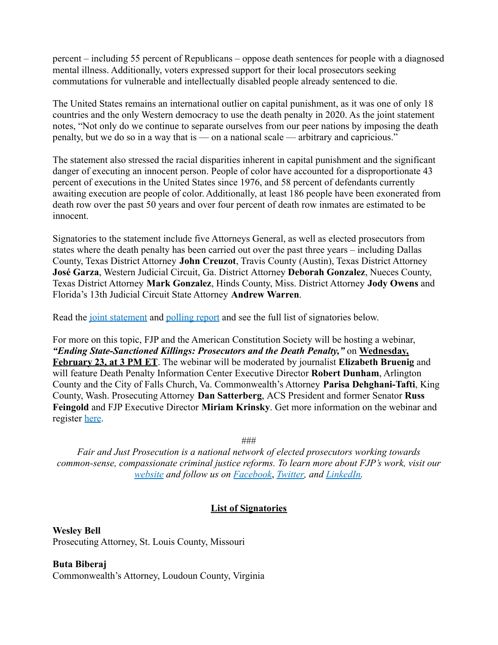percent – including 55 percent of Republicans – oppose death sentences for people with a diagnosed mental illness. Additionally, voters expressed support for their local prosecutors seeking commutations for vulnerable and intellectually disabled people already sentenced to die.

The United States remains an international outlier on capital punishment, as it was one of only 18 countries and the only Western democracy to use the death penalty in 2020. As the joint statement notes, "Not only do we continue to separate ourselves from our peer nations by imposing the death penalty, but we do so in a way that is — on a national scale — arbitrary and capricious."

The statement also stressed the racial disparities inherent in capital punishment and the significant danger of executing an innocent person. People of color have accounted for a disproportionate 43 percent of executions in the United States since 1976, and 58 percent of defendants currently awaiting execution are people of color. Additionally, at least 186 people have been exonerated from death row over the past 50 years and over four percent of death row inmates are estimated to be innocent.

Signatories to the statement include five Attorneys General, as well as elected prosecutors from states where the death penalty has been carried out over the past three years – including Dallas County, Texas District Attorney **John Creuzot**, Travis County (Austin), Texas District Attorney **José Garza**, Western Judicial Circuit, Ga. District Attorney **Deborah Gonzalez**, Nueces County, Texas District Attorney **Mark Gonzalez**, Hinds County, Miss. District Attorney **Jody Owens** and Florida's 13th Judicial Circuit State Attorney **Andrew Warren**.

Read the [joint statement](https://fairandjustprosecution.org/wp-content/uploads/2022/02/FJP-Death-Penalty-Joint-Statement-2022.pdf) and [polling report](https://acrobat.adobe.com/link/review?uri=urn:aaid:scds:US:48b7905d-a04b-39e4-92c1-508d39a63701#pageNum=1) and see the full list of signatories below.

For more on this topic, FJP and the American Constitution Society will be hosting a webinar, *"Ending State-Sanctioned Killings: Prosecutors and the Death Penalty,"* on **Wednesday, February 23, at 3 PM ET**. The webinar will be moderated by journalist **Elizabeth Bruenig** and will feature Death Penalty Information Center Executive Director **Robert Dunham**, Arlington County and the City of Falls Church, Va. Commonwealth's Attorney **Parisa Dehghani-Tafti**, King County, Wash. Prosecuting Attorney **Dan Satterberg**, ACS President and former Senator **Russ Feingold** and FJP Executive Director **Miriam Krinsky**. Get more information on the webinar and register [here](http://getinvolved.acslaw.org/component/events/event/1013).

###

*Fair and Just Prosecution is a national network of elected prosecutors working towards common-sense, compassionate criminal justice reforms. To learn more about FJP's work, visit our [website](http://www.fairandjustprosecution.org/) and follow us on [Facebook](https://www.facebook.com/fairandjustprosecution/)*, *[Twitter](https://twitter.com/fjp_org), and [LinkedIn.](https://www.linkedin.com/company/fjp)*

## **List of Signatories**

**Wesley Bell** Prosecuting Attorney, St. Louis County, Missouri

**Buta Biberaj** Commonwealth's Attorney, Loudoun County, Virginia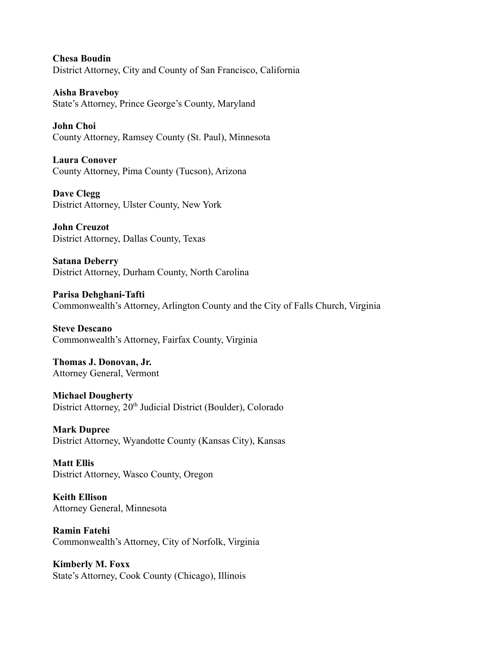**Chesa Boudin** District Attorney, City and County of San Francisco, California

**Aisha Braveboy** State's Attorney, Prince George's County, Maryland

**John Choi** County Attorney, Ramsey County (St. Paul), Minnesota

**Laura Conover** County Attorney, Pima County (Tucson), Arizona

**Dave Clegg** District Attorney, Ulster County, New York

**John Creuzot** District Attorney, Dallas County, Texas

**Satana Deberry** District Attorney, Durham County, North Carolina

**Parisa Dehghani-Tafti** Commonwealth's Attorney, Arlington County and the City of Falls Church, Virginia

**Steve Descano** Commonwealth's Attorney, Fairfax County, Virginia

**Thomas J. Donovan, Jr.** Attorney General, Vermont

**Michael Dougherty** District Attorney, 20<sup>th</sup> Judicial District (Boulder), Colorado

**Mark Dupree** District Attorney, Wyandotte County (Kansas City), Kansas

**Matt Ellis** District Attorney, Wasco County, Oregon

**Keith Ellison** Attorney General, Minnesota

**Ramin Fatehi** Commonwealth's Attorney, City of Norfolk, Virginia

**Kimberly M. Foxx** State's Attorney, Cook County (Chicago), Illinois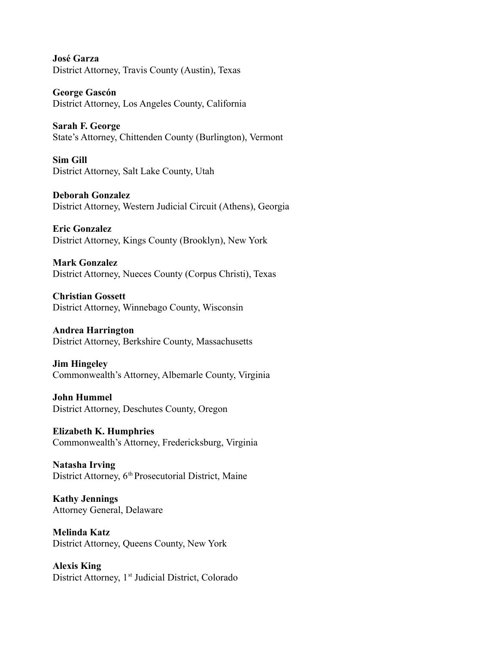**José Garza** District Attorney, Travis County (Austin), Texas

**George Gascón** District Attorney, Los Angeles County, California

**Sarah F. George** State's Attorney, Chittenden County (Burlington), Vermont

**Sim Gill** District Attorney, Salt Lake County, Utah

**Deborah Gonzalez** District Attorney, Western Judicial Circuit (Athens), Georgia

**Eric Gonzalez** District Attorney, Kings County (Brooklyn), New York

**Mark Gonzalez** District Attorney, Nueces County (Corpus Christi), Texas

**Christian Gossett** District Attorney, Winnebago County, Wisconsin

**Andrea Harrington** District Attorney, Berkshire County, Massachusetts

**Jim Hingeley** Commonwealth's Attorney, Albemarle County, Virginia

**John Hummel** District Attorney, Deschutes County, Oregon

**Elizabeth K. Humphries** Commonwealth's Attorney, Fredericksburg, Virginia

**Natasha Irving** District Attorney, 6<sup>th</sup> Prosecutorial District, Maine

**Kathy Jennings** Attorney General, Delaware

**Melinda Katz** District Attorney, Queens County, New York

**Alexis King** District Attorney, 1<sup>st</sup> Judicial District, Colorado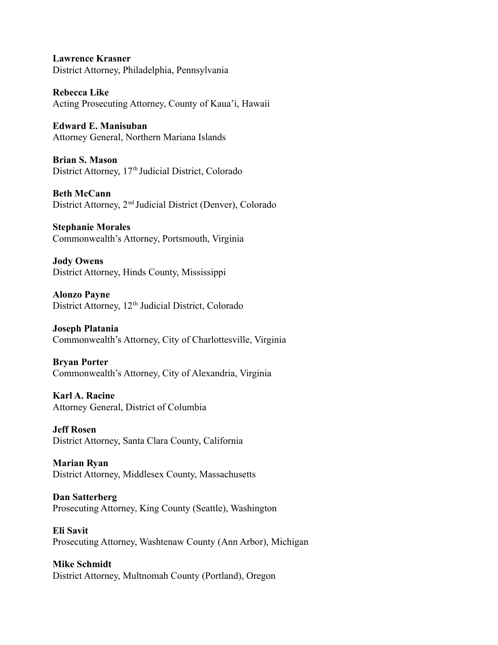**Lawrence Krasner** District Attorney, Philadelphia, Pennsylvania

**Rebecca Like** Acting Prosecuting Attorney, County of Kaua'i, Hawaii

**Edward E. Manisuban** Attorney General, Northern Mariana Islands

**Brian S. Mason** District Attorney, 17<sup>th</sup> Judicial District, Colorado

**Beth McCann** District Attorney, 2nd Judicial District (Denver), Colorado

**Stephanie Morales**

Commonwealth's Attorney, Portsmouth, Virginia

**Jody Owens** District Attorney, Hinds County, Mississippi

**Alonzo Payne** District Attorney, 12<sup>th</sup> Judicial District, Colorado

**Joseph Platania** Commonwealth's Attorney, City of Charlottesville, Virginia

**Bryan Porter** Commonwealth's Attorney, City of Alexandria, Virginia

**Karl A. Racine** Attorney General, District of Columbia

**Jeff Rosen** District Attorney, Santa Clara County, California

**Marian Ryan** District Attorney, Middlesex County, Massachusetts

**Dan Satterberg** Prosecuting Attorney, King County (Seattle), Washington

**Eli Savit** Prosecuting Attorney, Washtenaw County (Ann Arbor), Michigan

**Mike Schmidt** District Attorney, Multnomah County (Portland), Oregon